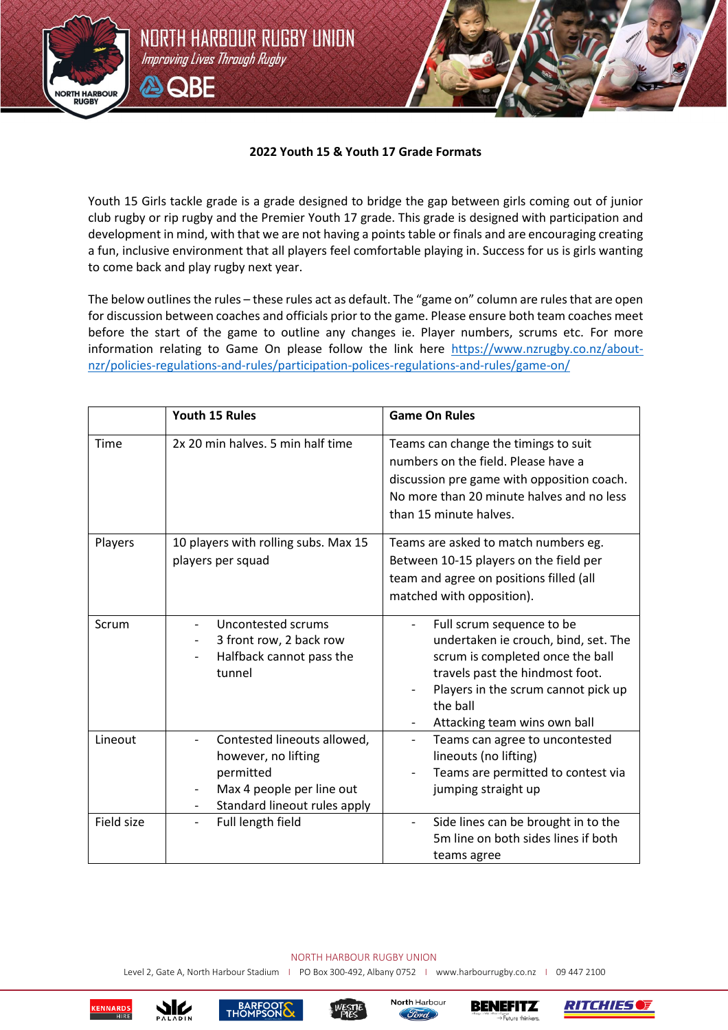## **2022 Youth 15 & Youth 17 Grade Formats**

NORTH HARBOUR RUGBY UNION

Improving Lives Through Rugby

ASORE

**NORTH HARBOUR RUGBY** 

> Youth 15 Girls tackle grade is a grade designed to bridge the gap between girls coming out of junior club rugby or rip rugby and the Premier Youth 17 grade. This grade is designed with participation and development in mind, with that we are not having a points table or finals and are encouraging creating a fun, inclusive environment that all players feel comfortable playing in. Success for us is girls wanting to come back and play rugby next year.

> The below outlines the rules – these rules act as default. The "game on" column are rules that are open for discussion between coaches and officials prior to the game. Please ensure both team coaches meet before the start of the game to outline any changes ie. Player numbers, scrums etc. For more information relating to Game On please follow the link here [https://www.nzrugby.co.nz/about](https://www.nzrugby.co.nz/about-nzr/policies-regulations-and-rules/participation-polices-regulations-and-rules/game-on/)[nzr/policies-regulations-and-rules/participation-polices-regulations-and-rules/game-on/](https://www.nzrugby.co.nz/about-nzr/policies-regulations-and-rules/participation-polices-regulations-and-rules/game-on/)

|            | Youth 15 Rules                                                                                                                                           | <b>Game On Rules</b>                                                                                                                                                                                                        |
|------------|----------------------------------------------------------------------------------------------------------------------------------------------------------|-----------------------------------------------------------------------------------------------------------------------------------------------------------------------------------------------------------------------------|
| Time       | 2x 20 min halves. 5 min half time                                                                                                                        | Teams can change the timings to suit<br>numbers on the field. Please have a<br>discussion pre game with opposition coach.<br>No more than 20 minute halves and no less<br>than 15 minute halves.                            |
| Players    | 10 players with rolling subs. Max 15<br>players per squad                                                                                                | Teams are asked to match numbers eg.<br>Between 10-15 players on the field per<br>team and agree on positions filled (all<br>matched with opposition).                                                                      |
| Scrum      | Uncontested scrums<br>3 front row, 2 back row<br>Halfback cannot pass the<br>tunnel                                                                      | Full scrum sequence to be<br>undertaken ie crouch, bind, set. The<br>scrum is completed once the ball<br>travels past the hindmost foot.<br>Players in the scrum cannot pick up<br>the ball<br>Attacking team wins own ball |
| Lineout    | Contested lineouts allowed,<br>however, no lifting<br>permitted<br>Max 4 people per line out<br>Standard lineout rules apply<br>$\overline{\phantom{0}}$ | Teams can agree to uncontested<br>$\overline{\phantom{0}}$<br>lineouts (no lifting)<br>Teams are permitted to contest via<br>jumping straight up                                                                            |
| Field size | Full length field                                                                                                                                        | Side lines can be brought in to the<br>$\overline{\phantom{0}}$<br>5m line on both sides lines if both<br>teams agree                                                                                                       |

## NORTH HARBOUR RUGBY UNION

Level 2, Gate A, North Harbour Stadium | PO Box 300-492, Albany 0752 | [www.harbourrugby.co.nz](http://www.harbourrugby.co.nz/) | 09 447 2100





**PR**